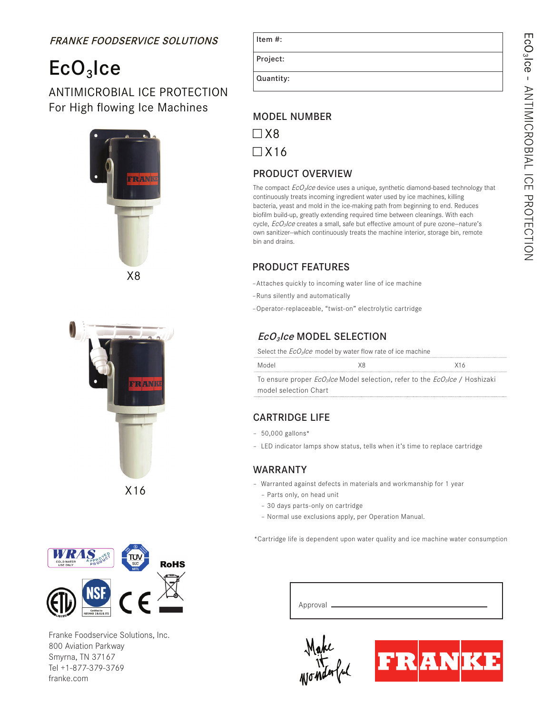## FRANKE FOODSERVICE SOLUTIONS Item #:

## $ECO<sub>3</sub>$ Ice

ANTIMICROBIAL ICE PROTECTION For High flowing Ice Machines<br>MODEL NUMBER







Franke Foodservice Solutions, Inc. 800 Aviation Parkway Smyrna, TN 37167 Tel +1-877-379-3769 franke.com

| спιπ. |  |  |
|-------|--|--|
|       |  |  |
|       |  |  |
|       |  |  |

Project:

Quantity:

□ X8  $\Box$  X16

### PRODUCT OVERVIEW

The compact  $EcO<sub>3</sub>/ce$  device uses a unique, synthetic diamond-based technology that continuously treats incoming ingredient water used by ice machines, killing bacteria, yeast and mold in the ice-making path from beginning to end. Reduces biofilm build-up, greatly extending required time between cleanings. With each cycle, EcO<sub>3</sub>Ice creates a small, safe but effective amount of pure ozone-nature's own sanitizer--which continuously treats the machine interior, storage bin, remote bin and drains.

#### PRODUCT FEATURES

–Attaches quickly to incoming water line of ice machine

- –Runs silently and automatically
- –Operator-replaceable, "twist-on" electrolytic cartridge

### EcO<sub>3</sub>Ice MODEL SELECTION

Select the  $EcO_3$ *Ice* model by water flow rate of ice machine

| Model                 | xя | X16                                                                                                            |
|-----------------------|----|----------------------------------------------------------------------------------------------------------------|
|                       |    | To ensure proper <i>EcO<sub>3</sub>lce</i> Model selection, refer to the <i>EcO<sub>3</sub>lce</i> / Hoshizaki |
| model selection Chart |    |                                                                                                                |

#### CARTRIDGE LIFE

- $-50,000$  gallons\*
- LED indicator lamps show status, tells when it's time to replace cartridge

#### WARRANTY

- Warranted against defects in materials and workmanship for 1 year
	- Parts only, on head unit
	- 30 days parts-only on cartridge
	- Normal use exclusions apply, per Operation Manual.

\*Cartridge life is dependent upon water quality and ice machine water consumption

| Approval |  |
|----------|--|
|          |  |